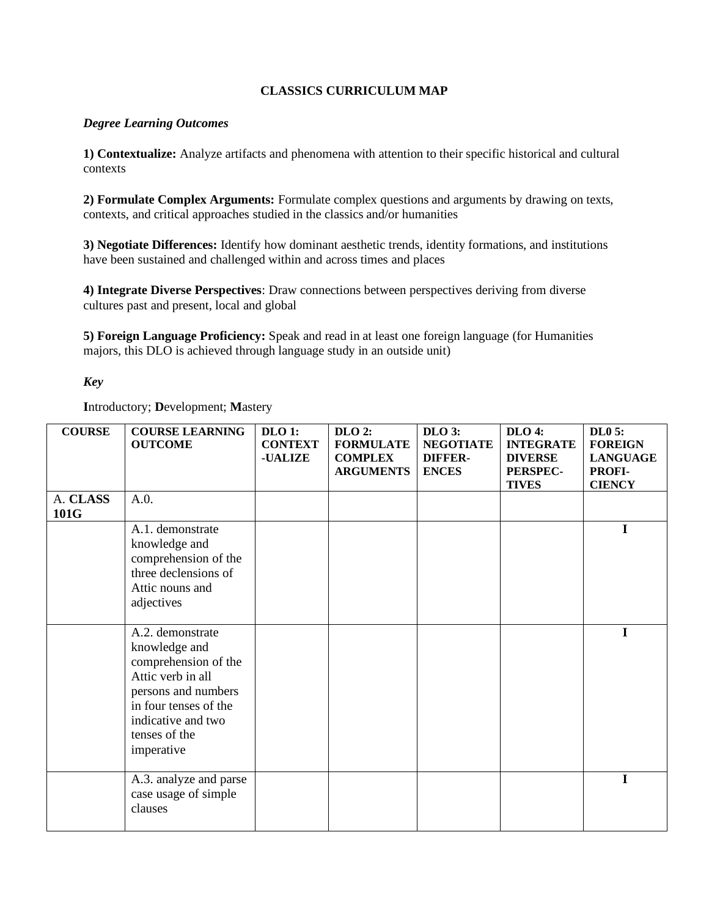## **CLASSICS CURRICULUM MAP**

## *Degree Learning Outcomes*

**1) Contextualize:** Analyze artifacts and phenomena with attention to their specific historical and cultural contexts

**2) Formulate Complex Arguments:** Formulate complex questions and arguments by drawing on texts, contexts, and critical approaches studied in the classics and/or humanities

**3) Negotiate Differences:** Identify how dominant aesthetic trends, identity formations, and institutions have been sustained and challenged within and across times and places

**4) Integrate Diverse Perspectives**: Draw connections between perspectives deriving from diverse cultures past and present, local and global

**5) Foreign Language Proficiency:** Speak and read in at least one foreign language (for Humanities majors, this DLO is achieved through language study in an outside unit)

## *Key*

**I**ntroductory; **D**evelopment; **M**astery

| <b>COURSE</b>    | <b>COURSE LEARNING</b><br><b>OUTCOME</b>                                                                                                                                            | DLO 1:<br><b>CONTEXT</b><br><b>-UALIZE</b> | $DLO$ 2:<br><b>FORMULATE</b><br><b>COMPLEX</b><br><b>ARGUMENTS</b> | $DLO$ 3:<br><b>NEGOTIATE</b><br><b>DIFFER-</b><br><b>ENCES</b> | <b>DLO 4:</b><br><b>INTEGRATE</b><br><b>DIVERSE</b><br>PERSPEC-<br><b>TIVES</b> | <b>DL0 5:</b><br><b>FOREIGN</b><br><b>LANGUAGE</b><br>PROFI-<br><b>CIENCY</b> |
|------------------|-------------------------------------------------------------------------------------------------------------------------------------------------------------------------------------|--------------------------------------------|--------------------------------------------------------------------|----------------------------------------------------------------|---------------------------------------------------------------------------------|-------------------------------------------------------------------------------|
| A. CLASS<br>101G | A.0.                                                                                                                                                                                |                                            |                                                                    |                                                                |                                                                                 |                                                                               |
|                  | A.1. demonstrate<br>knowledge and<br>comprehension of the<br>three declensions of<br>Attic nouns and<br>adjectives                                                                  |                                            |                                                                    |                                                                |                                                                                 | $\mathbf I$                                                                   |
|                  | A.2. demonstrate<br>knowledge and<br>comprehension of the<br>Attic verb in all<br>persons and numbers<br>in four tenses of the<br>indicative and two<br>tenses of the<br>imperative |                                            |                                                                    |                                                                |                                                                                 | $\mathbf I$                                                                   |
|                  | A.3. analyze and parse<br>case usage of simple<br>clauses                                                                                                                           |                                            |                                                                    |                                                                |                                                                                 | $\mathbf I$                                                                   |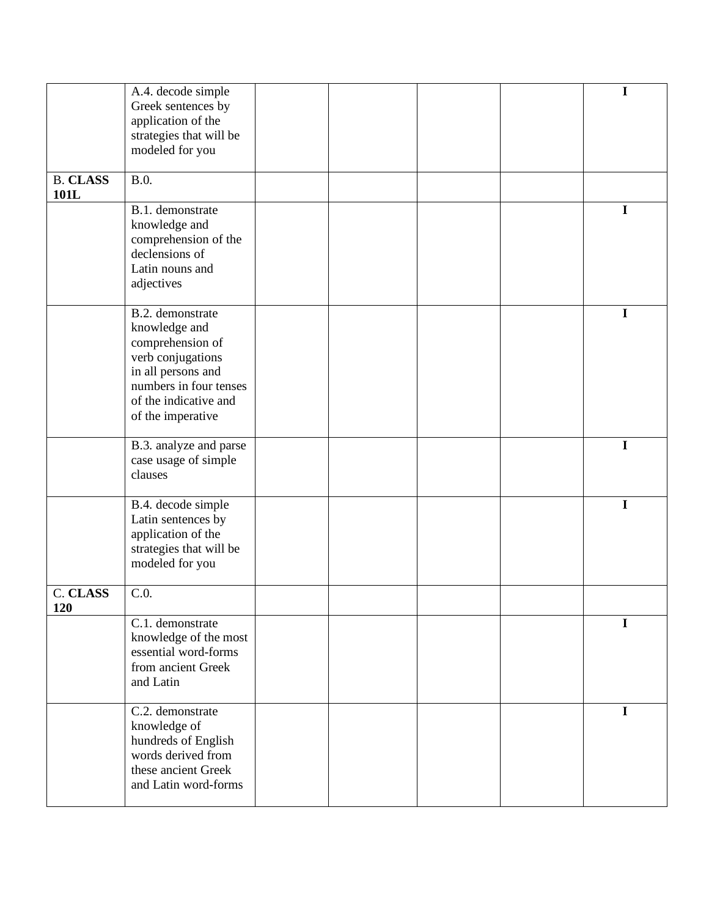|                         | A.4. decode simple<br>Greek sentences by                                                                                                                                 |  |  | I           |
|-------------------------|--------------------------------------------------------------------------------------------------------------------------------------------------------------------------|--|--|-------------|
|                         | application of the                                                                                                                                                       |  |  |             |
|                         | strategies that will be                                                                                                                                                  |  |  |             |
|                         | modeled for you                                                                                                                                                          |  |  |             |
| <b>B. CLASS</b><br>101L | B.0.                                                                                                                                                                     |  |  |             |
|                         | B.1. demonstrate<br>knowledge and<br>comprehension of the<br>declensions of<br>Latin nouns and<br>adjectives                                                             |  |  | $\mathbf I$ |
|                         | B.2. demonstrate<br>knowledge and<br>comprehension of<br>verb conjugations<br>in all persons and<br>numbers in four tenses<br>of the indicative and<br>of the imperative |  |  | I           |
|                         | B.3. analyze and parse<br>case usage of simple<br>clauses                                                                                                                |  |  | $\mathbf I$ |
|                         | B.4. decode simple<br>Latin sentences by<br>application of the<br>strategies that will be<br>modeled for you                                                             |  |  | $\mathbf I$ |
| <b>C. CLASS</b><br>120  | C.0.                                                                                                                                                                     |  |  |             |
|                         | C.1. demonstrate<br>knowledge of the most<br>essential word-forms<br>from ancient Greek<br>and Latin                                                                     |  |  | I           |
|                         | C.2. demonstrate<br>knowledge of<br>hundreds of English<br>words derived from<br>these ancient Greek<br>and Latin word-forms                                             |  |  | $\mathbf I$ |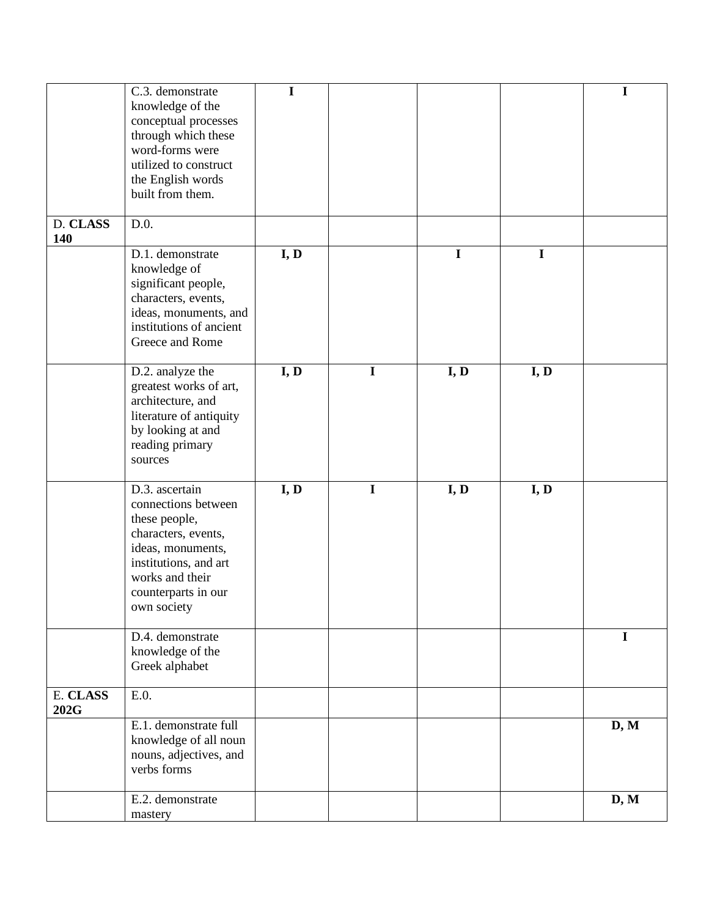|                  | C.3. demonstrate<br>knowledge of the<br>conceptual processes<br>through which these<br>word-forms were<br>utilized to construct<br>the English words<br>built from them.             | $\mathbf I$ |             |             |             | $\mathbf I$ |
|------------------|--------------------------------------------------------------------------------------------------------------------------------------------------------------------------------------|-------------|-------------|-------------|-------------|-------------|
| D. CLASS<br>140  | D.0.                                                                                                                                                                                 |             |             |             |             |             |
|                  | D.1. demonstrate<br>knowledge of<br>significant people,<br>characters, events,<br>ideas, monuments, and<br>institutions of ancient<br>Greece and Rome                                | I, D        |             | $\mathbf I$ | $\mathbf I$ |             |
|                  | D.2. analyze the<br>greatest works of art,<br>architecture, and<br>literature of antiquity<br>by looking at and<br>reading primary<br>sources                                        | I, D        | $\mathbf I$ | I, D        | I, D        |             |
|                  | D.3. ascertain<br>connections between<br>these people,<br>characters, events,<br>ideas, monuments,<br>institutions, and art<br>works and their<br>counterparts in our<br>own society | I, D        | $\mathbf I$ | I, D        | I, D        |             |
|                  | D.4. demonstrate<br>knowledge of the<br>Greek alphabet                                                                                                                               |             |             |             |             | $\mathbf I$ |
| E. CLASS<br>202G | E.0.                                                                                                                                                                                 |             |             |             |             |             |
|                  | E.1. demonstrate full<br>knowledge of all noun<br>nouns, adjectives, and<br>verbs forms                                                                                              |             |             |             |             | D, M        |
|                  | E.2. demonstrate<br>mastery                                                                                                                                                          |             |             |             |             | D, M        |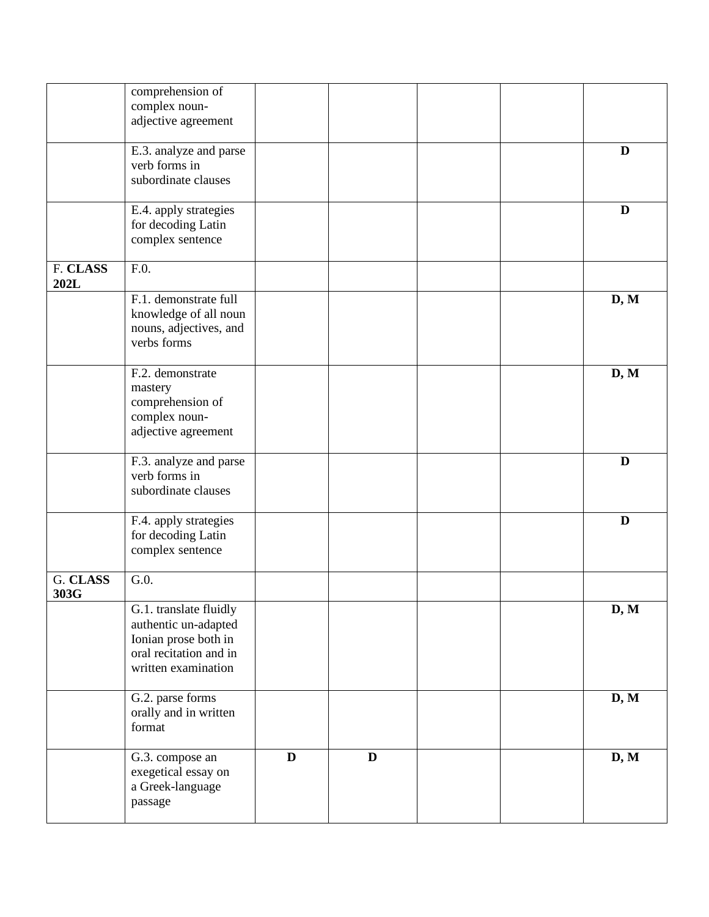|          | comprehension of       |              |             |  |      |
|----------|------------------------|--------------|-------------|--|------|
|          | complex noun-          |              |             |  |      |
|          | adjective agreement    |              |             |  |      |
|          |                        |              |             |  |      |
|          | E.3. analyze and parse |              |             |  | D    |
|          | verb forms in          |              |             |  |      |
|          | subordinate clauses    |              |             |  |      |
|          |                        |              |             |  |      |
|          | E.4. apply strategies  |              |             |  | D    |
|          | for decoding Latin     |              |             |  |      |
|          |                        |              |             |  |      |
|          | complex sentence       |              |             |  |      |
|          |                        |              |             |  |      |
| F. CLASS | F.0.                   |              |             |  |      |
| 202L     |                        |              |             |  |      |
|          | F.1. demonstrate full  |              |             |  | D, M |
|          | knowledge of all noun  |              |             |  |      |
|          | nouns, adjectives, and |              |             |  |      |
|          | verbs forms            |              |             |  |      |
|          |                        |              |             |  |      |
|          | F.2. demonstrate       |              |             |  | D, M |
|          | mastery                |              |             |  |      |
|          |                        |              |             |  |      |
|          | comprehension of       |              |             |  |      |
|          | complex noun-          |              |             |  |      |
|          | adjective agreement    |              |             |  |      |
|          |                        |              |             |  |      |
|          | F.3. analyze and parse |              |             |  | D    |
|          | verb forms in          |              |             |  |      |
|          | subordinate clauses    |              |             |  |      |
|          |                        |              |             |  |      |
|          | F.4. apply strategies  |              |             |  | D    |
|          | for decoding Latin     |              |             |  |      |
|          | complex sentence       |              |             |  |      |
|          |                        |              |             |  |      |
| G. CLASS | G.0.                   |              |             |  |      |
| 303G     |                        |              |             |  |      |
|          |                        |              |             |  |      |
|          | G.1. translate fluidly |              |             |  | D, M |
|          | authentic un-adapted   |              |             |  |      |
|          | Ionian prose both in   |              |             |  |      |
|          | oral recitation and in |              |             |  |      |
|          | written examination    |              |             |  |      |
|          |                        |              |             |  |      |
|          | G.2. parse forms       |              |             |  | D, M |
|          | orally and in written  |              |             |  |      |
|          | format                 |              |             |  |      |
|          |                        |              |             |  |      |
|          | G.3. compose an        | $\mathbf{D}$ | $\mathbf D$ |  | D, M |
|          | exegetical essay on    |              |             |  |      |
|          |                        |              |             |  |      |
|          | a Greek-language       |              |             |  |      |
|          | passage                |              |             |  |      |
|          |                        |              |             |  |      |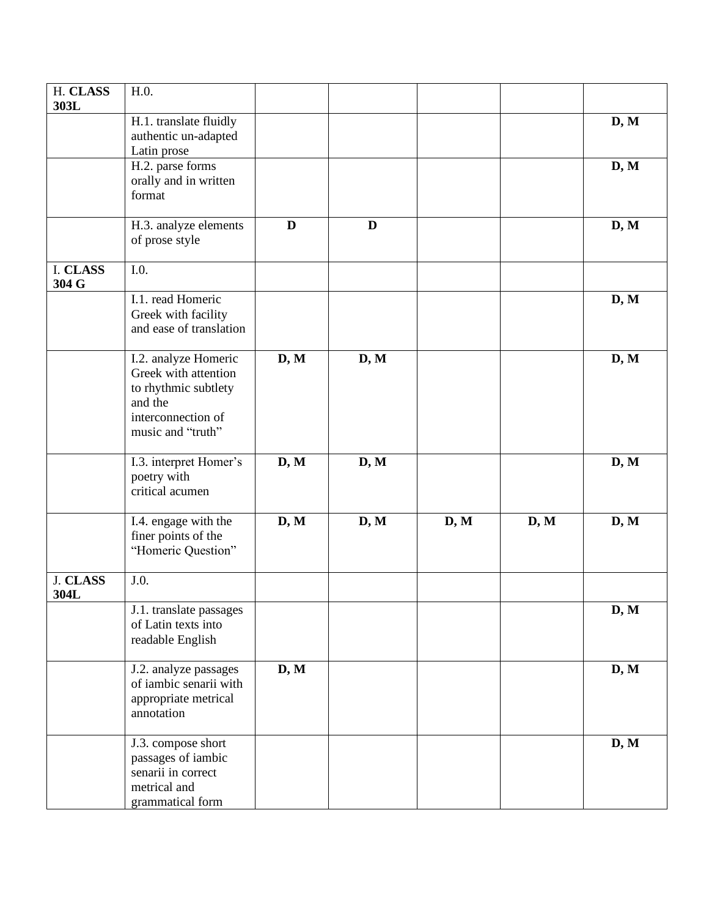| H. CLASS                | H.0.                                                                                                                       |              |              |      |      |      |
|-------------------------|----------------------------------------------------------------------------------------------------------------------------|--------------|--------------|------|------|------|
| 303L                    | H.1. translate fluidly<br>authentic un-adapted                                                                             |              |              |      |      | D, M |
|                         | Latin prose<br>H.2. parse forms<br>orally and in written<br>format                                                         |              |              |      |      | D, M |
|                         | H.3. analyze elements<br>of prose style                                                                                    | $\mathbf{D}$ | $\mathbf{D}$ |      |      | D, M |
| I. CLASS<br>304 G       | I.0.                                                                                                                       |              |              |      |      |      |
|                         | I.1. read Homeric<br>Greek with facility<br>and ease of translation                                                        |              |              |      |      | D, M |
|                         | I.2. analyze Homeric<br>Greek with attention<br>to rhythmic subtlety<br>and the<br>interconnection of<br>music and "truth" | D, M         | D, M         |      |      | D, M |
|                         | I.3. interpret Homer's<br>poetry with<br>critical acumen                                                                   | D, M         | D, M         |      |      | D, M |
|                         | I.4. engage with the<br>finer points of the<br>"Homeric Question"                                                          | D, M         | D, M         | D, M | D, M | D, M |
| <b>J. CLASS</b><br>304L | J.0.                                                                                                                       |              |              |      |      |      |
|                         | J.1. translate passages<br>of Latin texts into<br>readable English                                                         |              |              |      |      | D, M |
|                         | J.2. analyze passages<br>of iambic senarii with<br>appropriate metrical<br>annotation                                      | D, M         |              |      |      | D, M |
|                         | J.3. compose short<br>passages of iambic<br>senarii in correct<br>metrical and<br>grammatical form                         |              |              |      |      | D, M |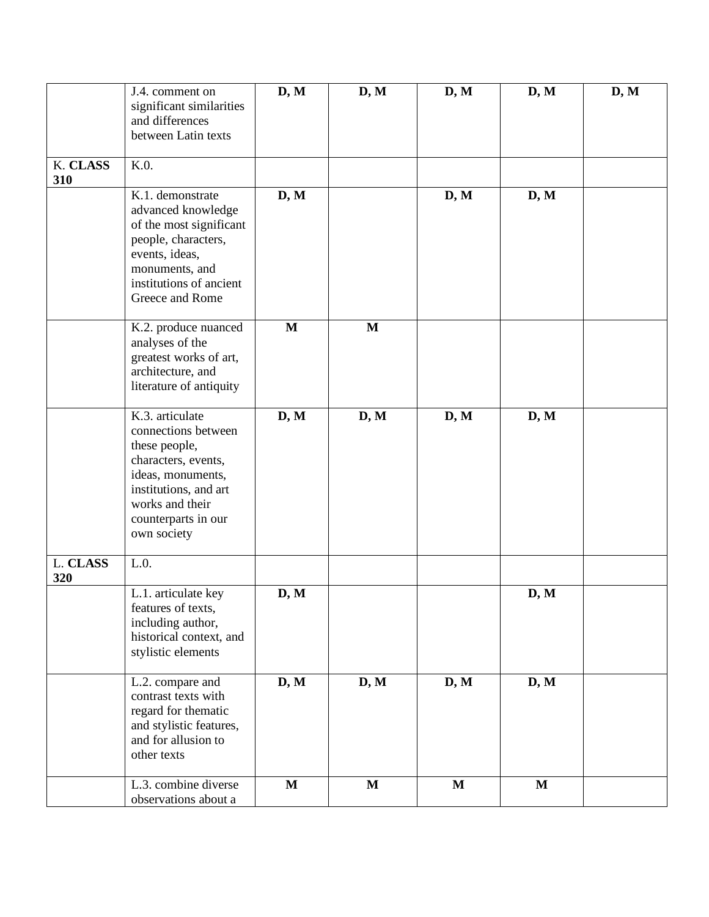|                 | J.4. comment on<br>significant similarities<br>and differences<br>between Latin texts                                                                                                 | D, M        | D, M         | D, M         | D, M         | D, M |
|-----------------|---------------------------------------------------------------------------------------------------------------------------------------------------------------------------------------|-------------|--------------|--------------|--------------|------|
| K. CLASS<br>310 | K.0.                                                                                                                                                                                  |             |              |              |              |      |
|                 | K.1. demonstrate<br>advanced knowledge<br>of the most significant<br>people, characters,<br>events, ideas,<br>monuments, and<br>institutions of ancient<br>Greece and Rome            | D, M        |              | D, M         | D, M         |      |
|                 | K.2. produce nuanced<br>analyses of the<br>greatest works of art,<br>architecture, and<br>literature of antiquity                                                                     | $\mathbf M$ | $\mathbf M$  |              |              |      |
|                 | K.3. articulate<br>connections between<br>these people,<br>characters, events,<br>ideas, monuments,<br>institutions, and art<br>works and their<br>counterparts in our<br>own society | D, M        | D, M         | D, M         | D, M         |      |
| L. CLASS<br>320 | L.0.                                                                                                                                                                                  |             |              |              |              |      |
|                 | L.1. articulate key<br>features of texts,<br>including author,<br>historical context, and<br>stylistic elements                                                                       | D, M        |              |              | D, M         |      |
|                 | L.2. compare and<br>contrast texts with<br>regard for thematic<br>and stylistic features,<br>and for allusion to<br>other texts                                                       | D, M        | D, M         | D, M         | D, M         |      |
|                 | L.3. combine diverse<br>observations about a                                                                                                                                          | $\mathbf M$ | $\mathbf{M}$ | $\mathbf{M}$ | $\mathbf{M}$ |      |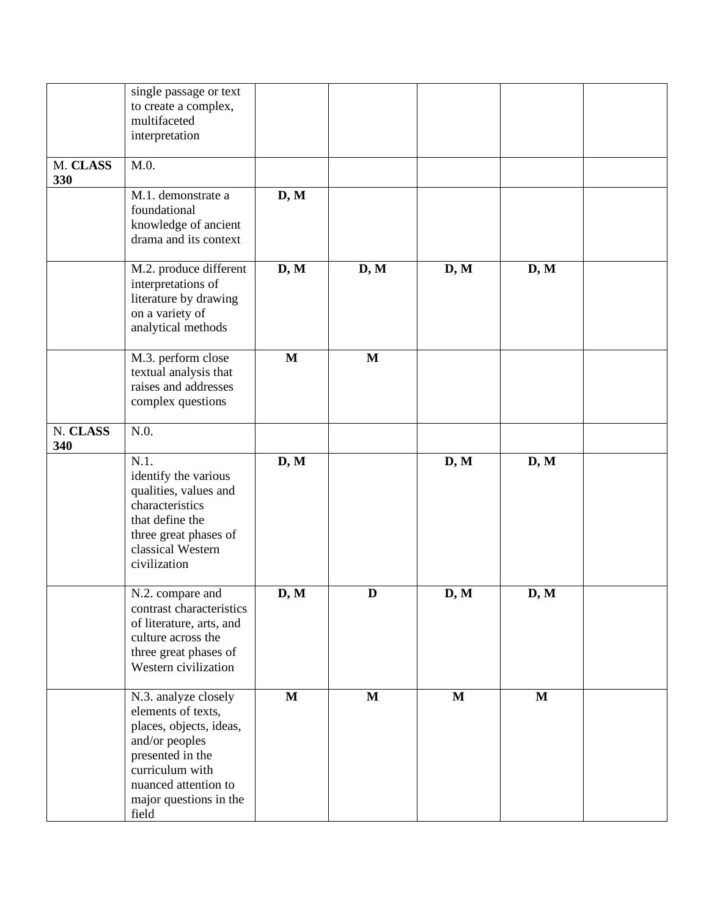|          | single passage or text   |                                    |              |             |             |  |
|----------|--------------------------|------------------------------------|--------------|-------------|-------------|--|
|          | to create a complex,     |                                    |              |             |             |  |
|          | multifaceted             |                                    |              |             |             |  |
|          | interpretation           |                                    |              |             |             |  |
|          |                          |                                    |              |             |             |  |
| M. CLASS | M.0.                     |                                    |              |             |             |  |
| 330      |                          |                                    |              |             |             |  |
|          | M.1. demonstrate a       | D, M                               |              |             |             |  |
|          | foundational             |                                    |              |             |             |  |
|          | knowledge of ancient     |                                    |              |             |             |  |
|          | drama and its context    |                                    |              |             |             |  |
|          |                          |                                    |              |             |             |  |
|          | M.2. produce different   | $\overline{\mathbf{D},\mathbf{M}}$ | D, M         | D, M        | D, M        |  |
|          | interpretations of       |                                    |              |             |             |  |
|          | literature by drawing    |                                    |              |             |             |  |
|          | on a variety of          |                                    |              |             |             |  |
|          | analytical methods       |                                    |              |             |             |  |
|          |                          |                                    |              |             |             |  |
|          | M.3. perform close       | $\mathbf{M}$                       | $\mathbf{M}$ |             |             |  |
|          | textual analysis that    |                                    |              |             |             |  |
|          | raises and addresses     |                                    |              |             |             |  |
|          | complex questions        |                                    |              |             |             |  |
| N. CLASS | N.0.                     |                                    |              |             |             |  |
| 340      |                          |                                    |              |             |             |  |
|          | $N.1$ .                  | D, M                               |              | D, M        | D, M        |  |
|          | identify the various     |                                    |              |             |             |  |
|          | qualities, values and    |                                    |              |             |             |  |
|          | characteristics          |                                    |              |             |             |  |
|          | that define the          |                                    |              |             |             |  |
|          | three great phases of    |                                    |              |             |             |  |
|          | classical Western        |                                    |              |             |             |  |
|          | civilization             |                                    |              |             |             |  |
|          |                          |                                    |              |             |             |  |
|          | N.2. compare and         | D, M                               | D            | D, M        | D, M        |  |
|          | contrast characteristics |                                    |              |             |             |  |
|          | of literature, arts, and |                                    |              |             |             |  |
|          | culture across the       |                                    |              |             |             |  |
|          | three great phases of    |                                    |              |             |             |  |
|          | Western civilization     |                                    |              |             |             |  |
|          |                          |                                    |              |             |             |  |
|          | N.3. analyze closely     | $\mathbf{M}$                       | $\mathbf{M}$ | $\mathbf M$ | $\mathbf M$ |  |
|          | elements of texts,       |                                    |              |             |             |  |
|          | places, objects, ideas,  |                                    |              |             |             |  |
|          | and/or peoples           |                                    |              |             |             |  |
|          | presented in the         |                                    |              |             |             |  |
|          | curriculum with          |                                    |              |             |             |  |
|          | nuanced attention to     |                                    |              |             |             |  |
|          | major questions in the   |                                    |              |             |             |  |
|          | field                    |                                    |              |             |             |  |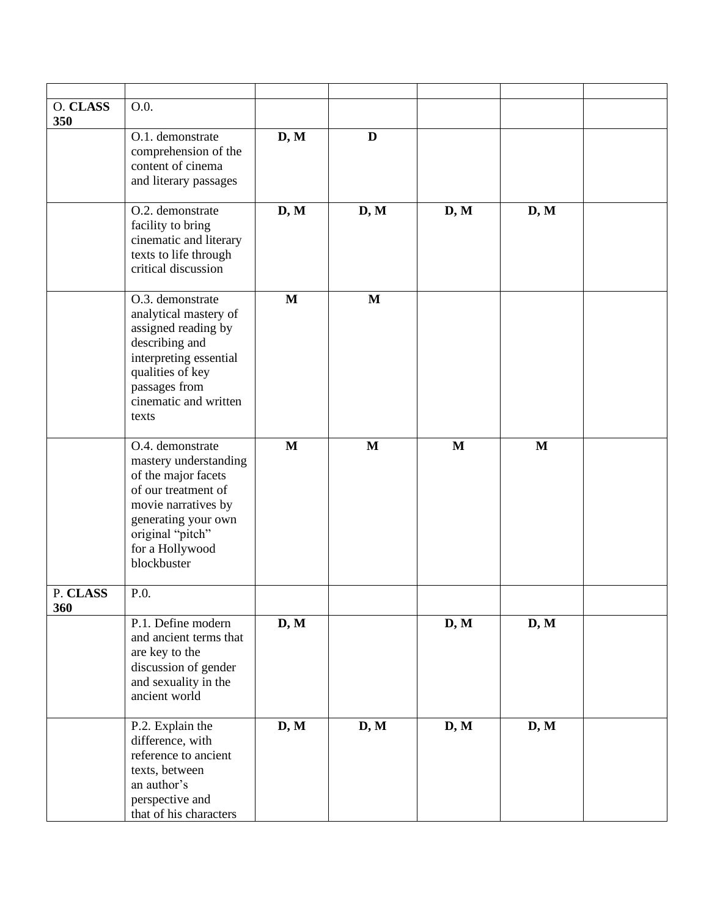| O. CLASS<br>350 | O.0.                                                                                                                                                                                        |              |              |      |      |  |
|-----------------|---------------------------------------------------------------------------------------------------------------------------------------------------------------------------------------------|--------------|--------------|------|------|--|
|                 | O.1. demonstrate<br>comprehension of the<br>content of cinema<br>and literary passages                                                                                                      | D, M         | D            |      |      |  |
|                 | O.2. demonstrate<br>facility to bring<br>cinematic and literary<br>texts to life through<br>critical discussion                                                                             | D, M         | D, M         | D, M | D, M |  |
|                 | O.3. demonstrate<br>analytical mastery of<br>assigned reading by<br>describing and<br>interpreting essential<br>qualities of key<br>passages from<br>cinematic and written<br>texts         | $\mathbf{M}$ | $\mathbf{M}$ |      |      |  |
|                 | O.4. demonstrate<br>mastery understanding<br>of the major facets<br>of our treatment of<br>movie narratives by<br>generating your own<br>original "pitch"<br>for a Hollywood<br>blockbuster | $\mathbf{M}$ | M            | M    | M    |  |
| P. CLASS<br>360 | P.0.                                                                                                                                                                                        |              |              |      |      |  |
|                 | P.1. Define modern<br>and ancient terms that<br>are key to the<br>discussion of gender<br>and sexuality in the<br>ancient world                                                             | D, M         |              | D, M | D, M |  |
|                 | P.2. Explain the<br>difference, with<br>reference to ancient<br>texts, between<br>an author's<br>perspective and<br>that of his characters                                                  | D, M         | D, M         | D, M | D, M |  |